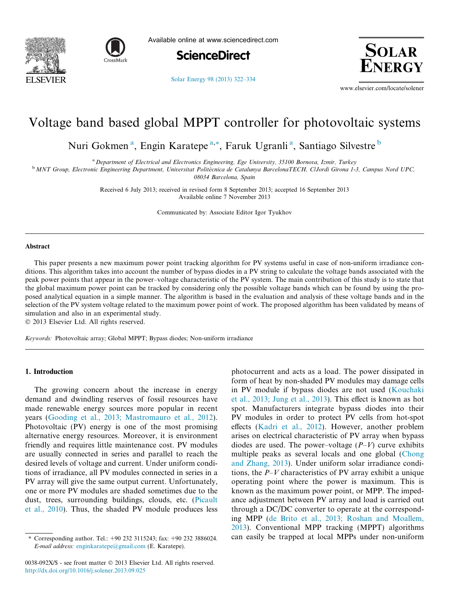



Available online at www.sciencedirect.com

**ScienceDirect** 



[Solar Energy 98 \(2013\) 322–334](http://dx.doi.org/10.1016/j.solener.2013.09.025)

www.elsevier.com/locate/solener

## Voltage band based global MPPT controller for photovoltaic systems

Nuri Gokmen<sup>a</sup>, Engin Karatepe<sup>a,\*</sup>, Faruk Ugranli<sup>a</sup>, Santiago Silvestre<sup>b</sup>

<sup>a</sup> Department of Electrical and Electronics Engineering, Ege University, 35100 Bornova, Izmir, Turkey

<sup>b</sup> MNT Group, Electronic Engineering Department, Universitat Politècnica de Catalunya BarcelonaTECH, ClJordi Girona 1-3, Campus Nord UPC,

08034 Barcelona, Spain

Received 6 July 2013; received in revised form 8 September 2013; accepted 16 September 2013 Available online 7 November 2013

Communicated by: Associate Editor Igor Tyukhov

### Abstract

This paper presents a new maximum power point tracking algorithm for PV systems useful in case of non-uniform irradiance conditions. This algorithm takes into account the number of bypass diodes in a PV string to calculate the voltage bands associated with the peak power points that appear in the power–voltage characteristic of the PV system. The main contribution of this study is to state that the global maximum power point can be tracked by considering only the possible voltage bands which can be found by using the proposed analytical equation in a simple manner. The algorithm is based in the evaluation and analysis of these voltage bands and in the selection of the PV system voltage related to the maximum power point of work. The proposed algorithm has been validated by means of simulation and also in an experimental study.

 $© 2013 Elsevier Ltd. All rights reserved.$ 

Keywords: Photovoltaic array; Global MPPT; Bypass diodes; Non-uniform irradiance

### 1. Introduction

The growing concern about the increase in energy demand and dwindling reserves of fossil resources have made renewable energy sources more popular in recent years ([Gooding et al., 2013; Mastromauro et al., 2012\)](#page--1-0). Photovoltaic (PV) energy is one of the most promising alternative energy resources. Moreover, it is environment friendly and requires little maintenance cost. PV modules are usually connected in series and parallel to reach the desired levels of voltage and current. Under uniform conditions of irradiance, all PV modules connected in series in a PV array will give the same output current. Unfortunately, one or more PV modules are shaded sometimes due to the dust, trees, surrounding buildings, clouds, etc. [\(Picault](#page--1-0) [et al., 2010](#page--1-0)). Thus, the shaded PV module produces less

0038-092X/\$ - see front matter © 2013 Elsevier Ltd. All rights reserved. <http://dx.doi.org/10.1016/j.solener.2013.09.025>

photocurrent and acts as a load. The power dissipated in form of heat by non-shaded PV modules may damage cells in PV module if bypass diodes are not used [\(Kouchaki](#page--1-0) [et al., 2013; Jung et al., 2013\)](#page--1-0). This effect is known as hot spot. Manufacturers integrate bypass diodes into their PV modules in order to protect PV cells from hot-spot effects ([Kadri et al., 2012\)](#page--1-0). However, another problem arises on electrical characteristic of PV array when bypass diodes are used. The power–voltage  $(P-V)$  curve exhibits multiple peaks as several locals and one global [\(Chong](#page--1-0) [and Zhang, 2013](#page--1-0)). Under uniform solar irradiance conditions, the  $P-V$  characteristics of PV array exhibit a unique operating point where the power is maximum. This is known as the maximum power point, or MPP. The impedance adjustment between PV array and load is carried out through a DC/DC converter to operate at the corresponding MPP ([de Brito et al., 2013; Roshan and Moallem,](#page--1-0) [2013\)](#page--1-0). Conventional MPP tracking (MPPT) algorithms can easily be trapped at local MPPs under non-uniform

<sup>\*</sup> Corresponding author. Tel.:  $+90\,232\,3115243$ ; fax:  $+90\,232\,3886024$ . E-mail address: [enginkaratepe@gmail.com](mailto:enginkaratepe@gmail.com) (E. Karatepe).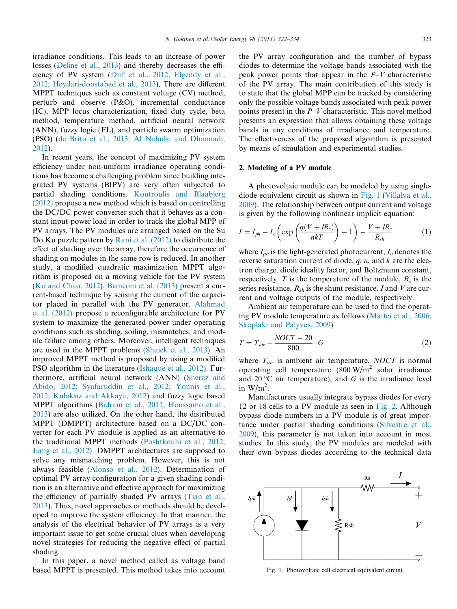irradiance conditions. This leads to an increase of power losses ([Deline et al., 2013](#page--1-0)) and thereby decreases the efficiency of PV system [\(Drif et al., 2012; Elgendy et al.,](#page--1-0) [2012; Heydari-doostabad et al., 2013](#page--1-0)). There are different MPPT techniques such as constant voltage (CV) method, perturb and observe (P&O), incremental conductance (IC), MPP locus characterization, fixed duty cycle, beta method, temperature method, artificial neural network (ANN), fuzzy logic (FL), and particle swarm optimization (PSO) [\(de Brito et al., 2013; Al Nabulsi and Dhaouadi,](#page--1-0) [2012](#page--1-0)).

In recent years, the concept of maximizing PV system efficiency under non-uniform irradiance operating conditions has become a challenging problem since building integrated PV systems (BIPV) are very often subjected to partial shading conditions. [Koutroulis and Blaabjerg](#page--1-0) [\(2012\)](#page--1-0) propose a new method which is based on controlling the DC/DC power converter such that it behaves as a constant input-power load in order to track the global MPP of PV arrays. The PV modules are arranged based on the Su Do Ku puzzle pattern by [Rani et al. \(2012\)](#page--1-0) to distribute the effect of shading over the array, therefore the occurrence of shading on modules in the same row is reduced. In another study, a modified quadratic maximization MPPT algorithm is proposed on a moving vehicle for the PV system ([Ko and Chao, 2012\)](#page--1-0). [Bianconi et al. \(2013\)](#page--1-0) present a current-based technique by sensing the current of the capacitor placed in parallel with the PV generator. [Alahmad](#page--1-0) [et al. \(2012\)](#page--1-0) propose a reconfigurable architecture for PV system to maximize the generated power under operating conditions such as shading, soiling, mismatches, and module failure among others. Moreover, intelligent techniques are used in the MPPT problems [\(Shaiek et al., 2013\)](#page--1-0). An improved MPPT method is proposed by using a modified PSO algorithm in the literature [\(Ishaque et al., 2012](#page--1-0)). Furthermore, artificial neural network (ANN) [\(Sheraz and](#page--1-0) [Abido, 2012; Syafaruddin et al., 2012; Younis et al.,](#page--1-0) [2012; Kulaksız and Akkaya, 2012](#page--1-0)) and fuzzy logic based MPPT algorithms ([Bidram et al., 2012; Houssamo et al.,](#page--1-0) [2013](#page--1-0)) are also utilized. On the other hand, the distributed MPPT (DMPPT) architecture based on a DC/DC converter for each PV module is applied as an alternative to the traditional MPPT methods [\(Poshtkouhi et al., 2012;](#page--1-0) [Jiang et al., 2012\)](#page--1-0). DMPPT architectures are supposed to solve any mismatching problem. However, this is not always feasible [\(Alonso et al., 2012](#page--1-0)). Determination of optimal PV array configuration for a given shading condition is an alternative and effective approach for maximizing the efficiency of partially shaded PV arrays ([Tian et al.,](#page--1-0) [2013](#page--1-0)). Thus, novel approaches or methods should be developed to improve the system efficiency. In that manner, the analysis of the electrical behavior of PV arrays is a very important issue to get some crucial clues when developing novel strategies for reducing the negative effect of partial shading.

In this paper, a novel method called as voltage band based MPPT is presented. This method takes into account the PV array configuration and the number of bypass diodes to determine the voltage bands associated with the peak power points that appear in the  $P-V$  characteristic of the PV array. The main contribution of this study is to state that the global MPP can be tracked by considering only the possible voltage bands associated with peak power points present in the  $P-V$  characteristic. This novel method presents an expression that allows obtaining these voltage bands in any conditions of irradiance and temperature. The effectiveness of the proposed algorithm is presented by means of simulation and experimental studies.

#### 2. Modeling of a PV module

A photovoltaic module can be modeled by using singlediode equivalent circuit as shown in Fig. 1 [\(Villalva et al.,](#page--1-0) [2009](#page--1-0)). The relationship between output current and voltage is given by the following nonlinear implicit equation:

$$
I = I_{ph} - I_o \left( \exp \left( \frac{q(V + IR_s)}{nkT} \right) - 1 \right) - \frac{V + IR_s}{R_{sh}} \tag{1}
$$

where  $I_{ph}$  is the light-generated photocurrent,  $I_o$  denotes the reverse saturation current of diode,  $q$ ,  $n$ , and  $k$  are the electron charge, diode ideality factor, and Boltzmann constant, respectively. T is the temperature of the module,  $R_s$  is the series resistance,  $R_{sh}$  is the shunt resistance. I and V are current and voltage outputs of the module, respectively.

Ambient air temperature can be used to find the operating PV module temperature as follows ([Mattei et al., 2006;](#page--1-0) [Skoplaki and Palyvos, 2009](#page--1-0))

$$
T = T_{air} + \frac{NOCT - 20}{800} \cdot G \tag{2}
$$

where  $T_{air}$  is ambient air temperature, NOCT is normal operating cell temperature  $(800 \text{ W/m}^2 \text{ solar irradiance})$ and 20 °C air temperature), and  $G$  is the irradiance level in  $W/m^2$ .

Manufacturers usually integrate bypass diodes for every 12 or 18 cells to a PV module as seen in [Fig. 2.](#page--1-0) Although bypass diode numbers in a PV module is of great importance under partial shading conditions [\(Silvestre et al.,](#page--1-0) [2009](#page--1-0)), this parameter is not taken into account in most studies. In this study, the PV modules are modeled with their own bypass diodes according to the technical data



Fig. 1. Photovoltaic cell electrical equivalent circuit.